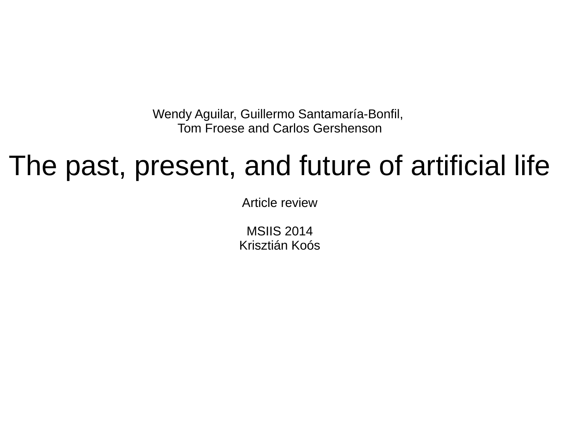Wendy Aguilar, Guillermo Santamaría-Bonfil, Tom Froese and Carlos Gershenson

#### The past, present, and future of artificial life

Article review

MSIIS 2014 Krisztián Koós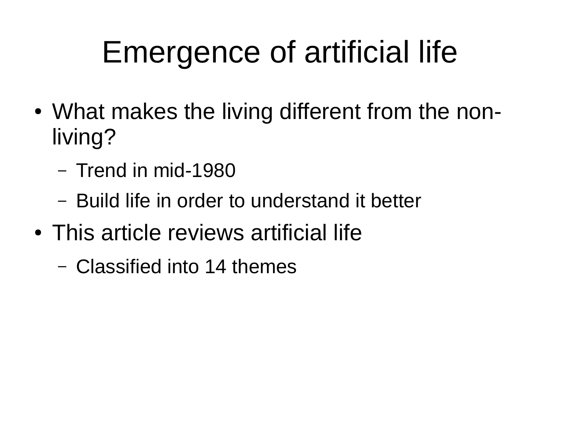# Emergence of artificial life

- What makes the living different from the nonliving?
	- Trend in mid-1980
	- Build life in order to understand it better
- This article reviews artificial life
	- Classified into 14 themes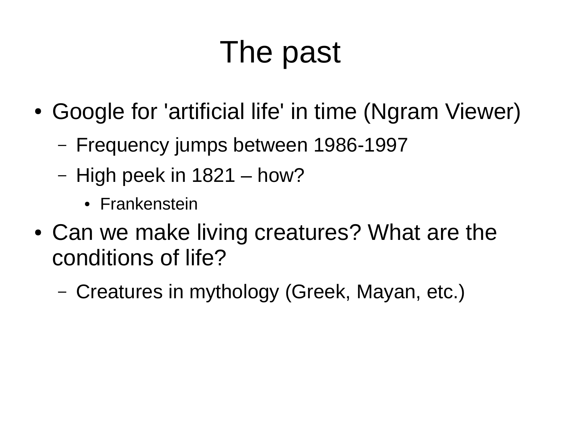# The past

- Google for 'artificial life' in time (Ngram Viewer)
	- Frequency jumps between 1986-1997
	- High peek in 1821 how?
		- Frankenstein
- Can we make living creatures? What are the conditions of life?
	- Creatures in mythology (Greek, Mayan, etc.)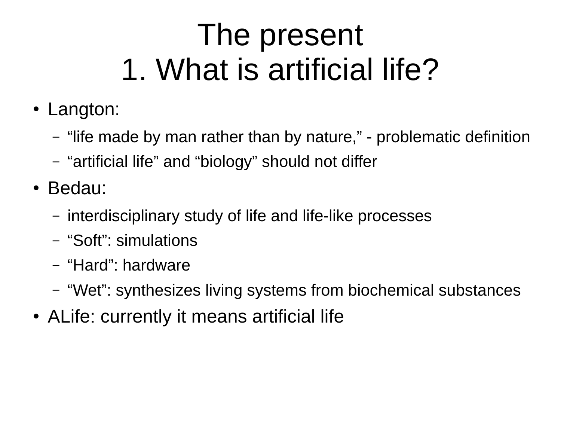### The present 1. What is artificial life?

- Langton:
	- "life made by man rather than by nature," problematic definition
	- "artificial life" and "biology" should not differ
- Bedau:
	- interdisciplinary study of life and life-like processes
	- "Soft": simulations
	- "Hard": hardware
	- "Wet": synthesizes living systems from biochemical substances
- ALife: currently it means artificial life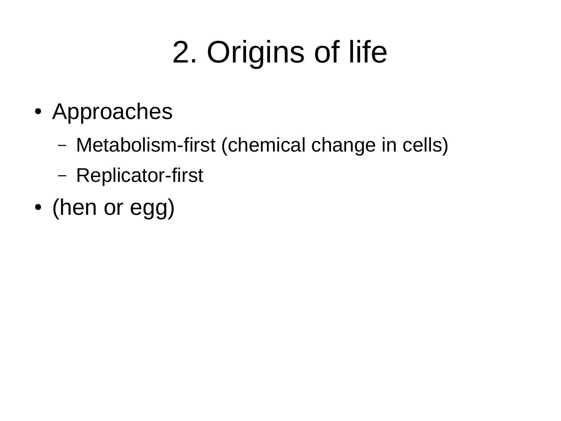# 2. Origins of life

- Approaches
	- Metabolism-first (chemical change in cells)
	- Replicator-first
- (hen or egg)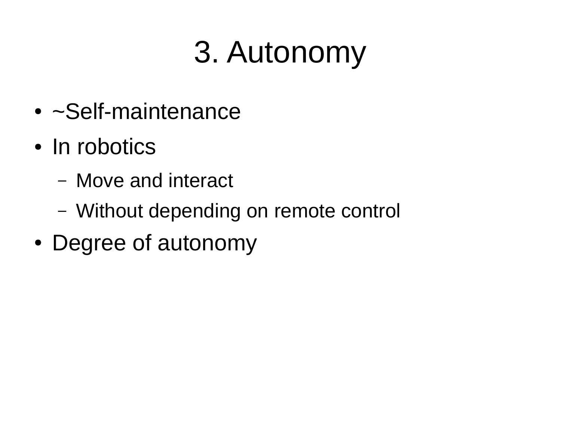# 3. Autonomy

- $\bullet$  ~Self-maintenance
- In robotics
	- Move and interact
	- Without depending on remote control
- Degree of autonomy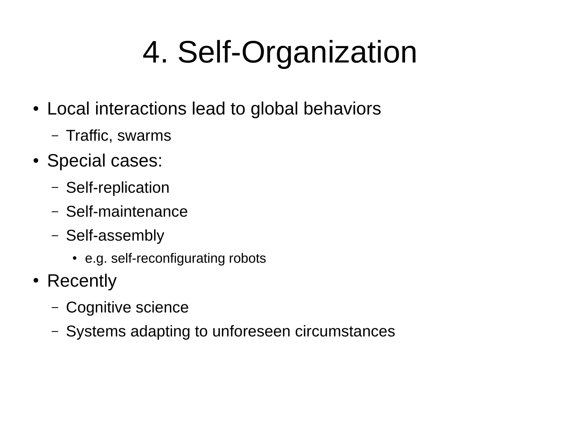# 4. Self-Organization

- Local interactions lead to global behaviors
	- Traffic, swarms
- Special cases:
	- Self-replication
	- Self-maintenance
	- Self-assembly
		- e.g. self-reconfigurating robots
- Recently
	- Cognitive science
	- Systems adapting to unforeseen circumstances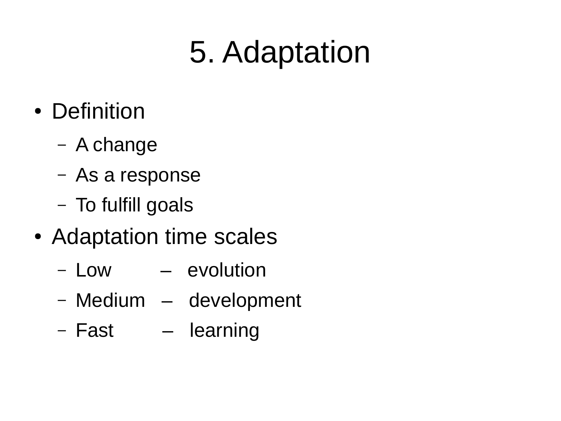## 5. Adaptation

- Definition
	- A change
	- As a response
	- To fulfill goals
- Adaptation time scales
	- Low evolution
	- Medium development
	- Fast learning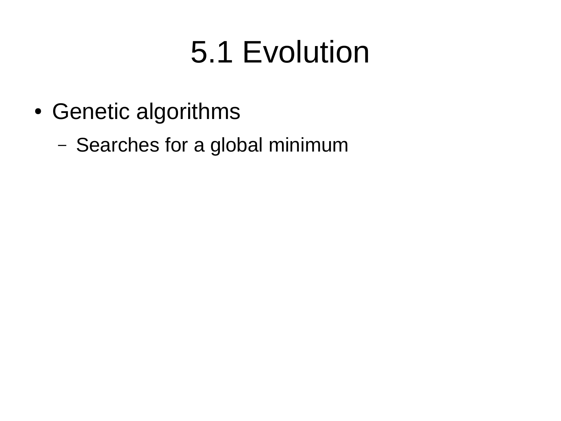### 5.1 Evolution

- Genetic algorithms
	- Searches for a global minimum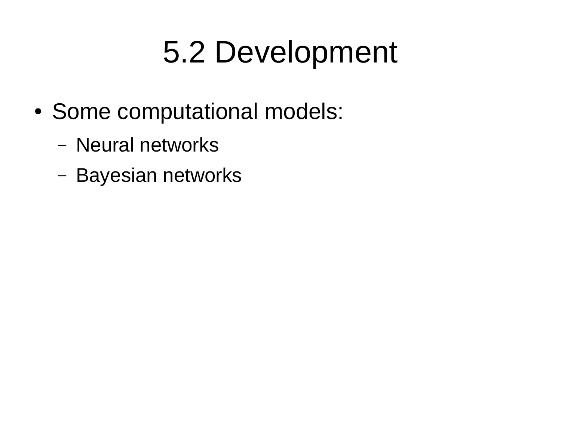### 5.2 Development

- Some computational models:
	- Neural networks
	- Bayesian networks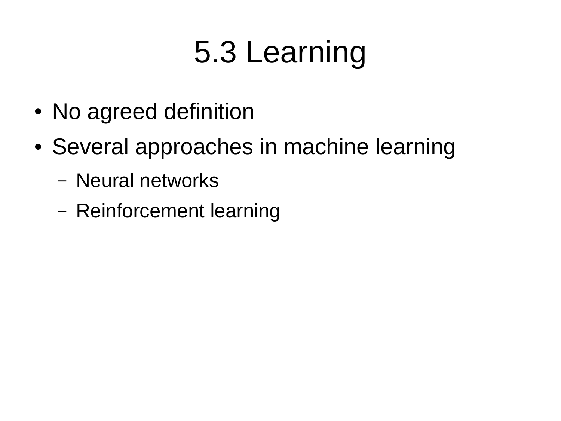# 5.3 Learning

- No agreed definition
- Several approaches in machine learning
	- Neural networks
	- Reinforcement learning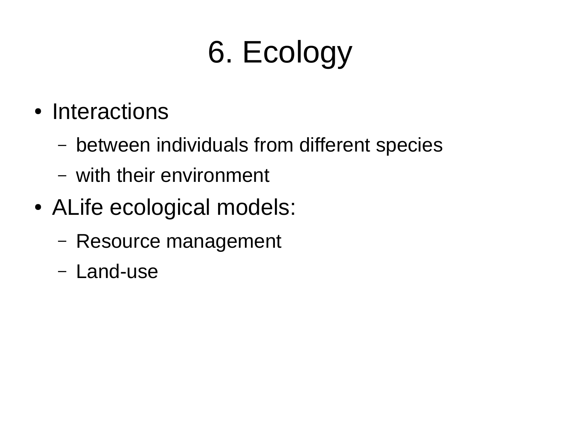# 6. Ecology

- Interactions
	- between individuals from different species
	- with their environment
- ALife ecological models:
	- Resource management
	- Land-use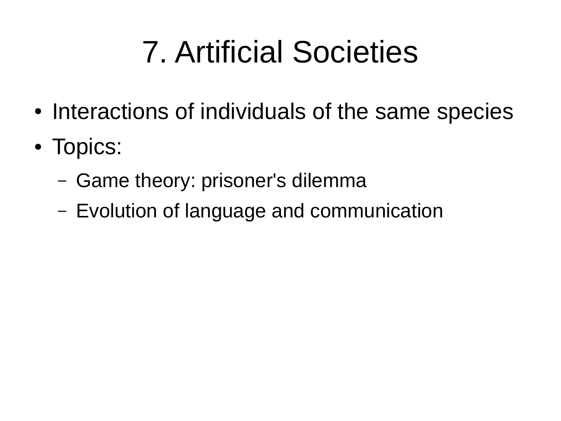# 7. Artificial Societies

- Interactions of individuals of the same species
- Topics:
	- Game theory: prisoner's dilemma
	- Evolution of language and communication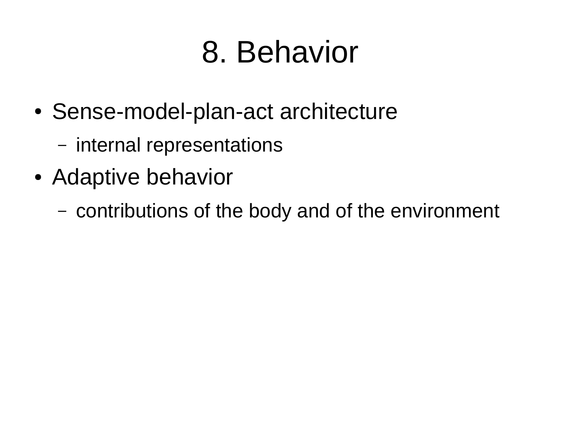# 8. Behavior

- Sense-model-plan-act architecture
	- internal representations
- Adaptive behavior
	- contributions of the body and of the environment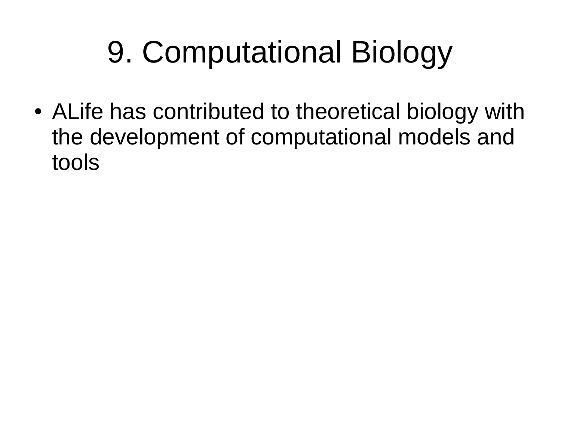# 9. Computational Biology

• ALife has contributed to theoretical biology with the development of computational models and tools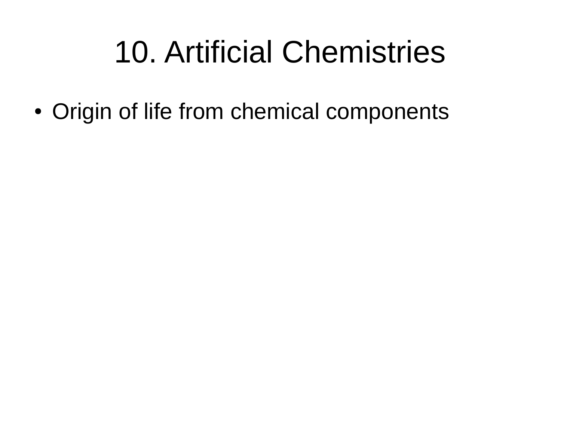#### 10. Artificial Chemistries

• Origin of life from chemical components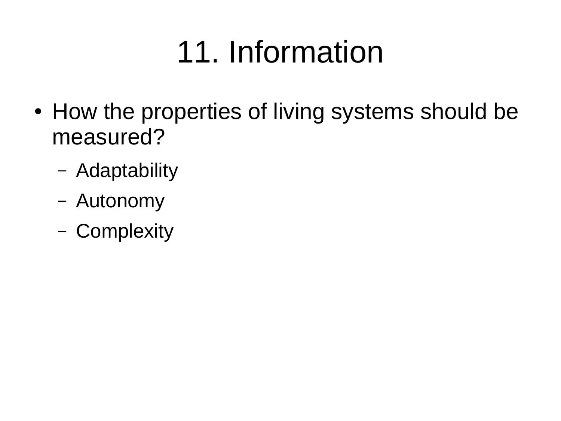# 11. Information

- How the properties of living systems should be measured?
	- Adaptability
	- Autonomy
	- Complexity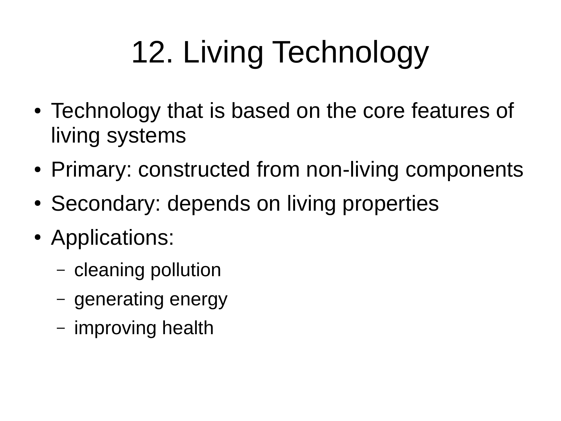# 12. Living Technology

- Technology that is based on the core features of living systems
- Primary: constructed from non-living components
- Secondary: depends on living properties
- Applications:
	- cleaning pollution
	- generating energy
	- improving health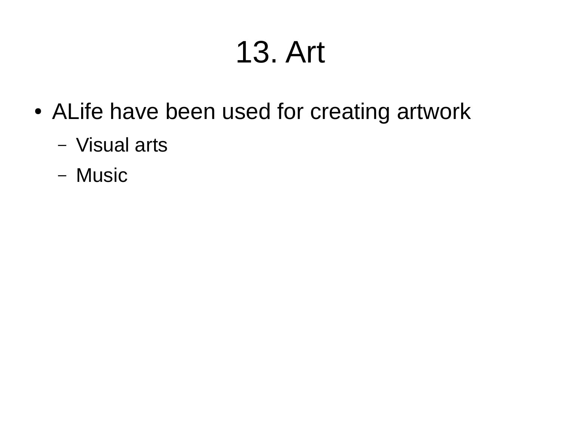### 13. Art

- ALife have been used for creating artwork
	- Visual arts
	- Music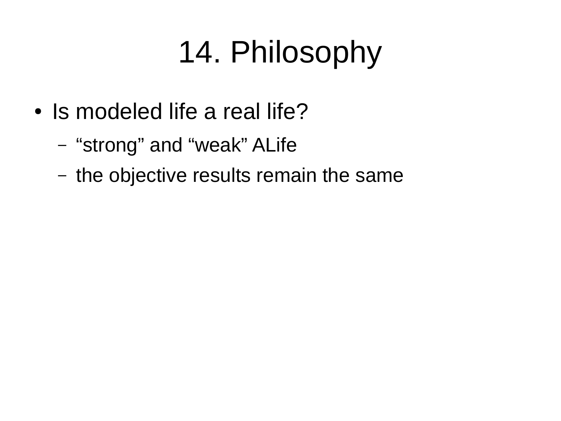# 14. Philosophy

- Is modeled life a real life?
	- "strong" and "weak" ALife
	- the objective results remain the same